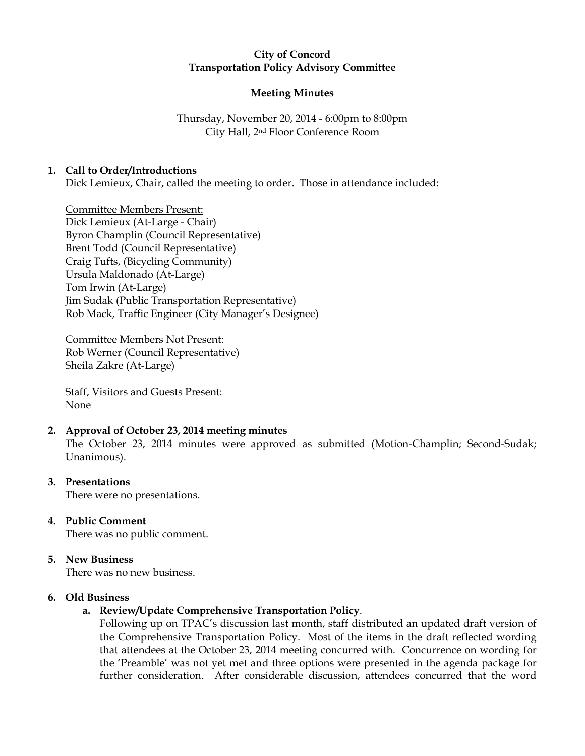## City of Concord Transportation Policy Advisory Committee

# **Meeting Minutes**

Thursday, November 20, 2014 - 6:00pm to 8:00pm City Hall, 2nd Floor Conference Room

## 1. Call to Order/Introductions

Dick Lemieux, Chair, called the meeting to order. Those in attendance included:

Committee Members Present: Dick Lemieux (At-Large - Chair) Byron Champlin (Council Representative) Brent Todd (Council Representative) Craig Tufts, (Bicycling Community) Ursula Maldonado (At-Large) Tom Irwin (At-Large) Jim Sudak (Public Transportation Representative) Rob Mack, Traffic Engineer (City Manager's Designee)

Committee Members Not Present: Rob Werner (Council Representative) Sheila Zakre (At-Large)

Staff, Visitors and Guests Present: None

# 2. Approval of October 23, 2014 meeting minutes

The October 23, 2014 minutes were approved as submitted (Motion-Champlin; Second-Sudak; Unanimous).

## 3. Presentations

There were no presentations.

# 4. Public Comment

There was no public comment.

## 5. New Business

There was no new business.

## 6. Old Business

# a. Review/Update Comprehensive Transportation Policy.

Following up on TPAC's discussion last month, staff distributed an updated draft version of the Comprehensive Transportation Policy. Most of the items in the draft reflected wording that attendees at the October 23, 2014 meeting concurred with. Concurrence on wording for the 'Preamble' was not yet met and three options were presented in the agenda package for further consideration. After considerable discussion, attendees concurred that the word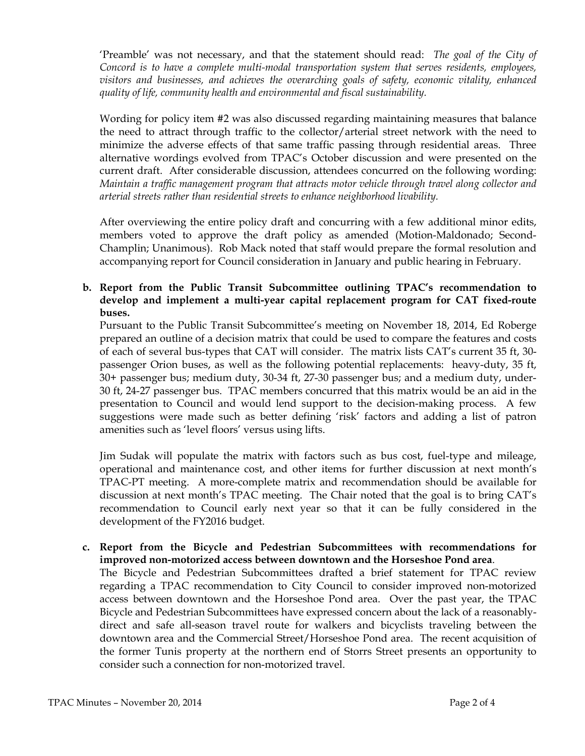'Preamble' was not necessary, and that the statement should read: The goal of the City of Concord is to have a complete multi-modal transportation system that serves residents, employees, visitors and businesses, and achieves the overarching goals of safety, economic vitality, enhanced quality of life, community health and environmental and fiscal sustainability.

Wording for policy item #2 was also discussed regarding maintaining measures that balance the need to attract through traffic to the collector/arterial street network with the need to minimize the adverse effects of that same traffic passing through residential areas. Three alternative wordings evolved from TPAC's October discussion and were presented on the current draft. After considerable discussion, attendees concurred on the following wording: Maintain a traffic management program that attracts motor vehicle through travel along collector and arterial streets rather than residential streets to enhance neighborhood livability.

After overviewing the entire policy draft and concurring with a few additional minor edits, members voted to approve the draft policy as amended (Motion-Maldonado; Second-Champlin; Unanimous). Rob Mack noted that staff would prepare the formal resolution and accompanying report for Council consideration in January and public hearing in February.

# b. Report from the Public Transit Subcommittee outlining TPAC's recommendation to develop and implement a multi-year capital replacement program for CAT fixed-route buses.

Pursuant to the Public Transit Subcommittee's meeting on November 18, 2014, Ed Roberge prepared an outline of a decision matrix that could be used to compare the features and costs of each of several bus-types that CAT will consider. The matrix lists CAT's current 35 ft, 30 passenger Orion buses, as well as the following potential replacements: heavy-duty, 35 ft, 30+ passenger bus; medium duty, 30-34 ft, 27-30 passenger bus; and a medium duty, under-30 ft, 24-27 passenger bus. TPAC members concurred that this matrix would be an aid in the presentation to Council and would lend support to the decision-making process. A few suggestions were made such as better defining 'risk' factors and adding a list of patron amenities such as 'level floors' versus using lifts.

Jim Sudak will populate the matrix with factors such as bus cost, fuel-type and mileage, operational and maintenance cost, and other items for further discussion at next month's TPAC-PT meeting. A more-complete matrix and recommendation should be available for discussion at next month's TPAC meeting. The Chair noted that the goal is to bring CAT's recommendation to Council early next year so that it can be fully considered in the development of the FY2016 budget.

# c. Report from the Bicycle and Pedestrian Subcommittees with recommendations for improved non-motorized access between downtown and the Horseshoe Pond area.

The Bicycle and Pedestrian Subcommittees drafted a brief statement for TPAC review regarding a TPAC recommendation to City Council to consider improved non-motorized access between downtown and the Horseshoe Pond area. Over the past year, the TPAC Bicycle and Pedestrian Subcommittees have expressed concern about the lack of a reasonablydirect and safe all-season travel route for walkers and bicyclists traveling between the downtown area and the Commercial Street/Horseshoe Pond area. The recent acquisition of the former Tunis property at the northern end of Storrs Street presents an opportunity to consider such a connection for non-motorized travel.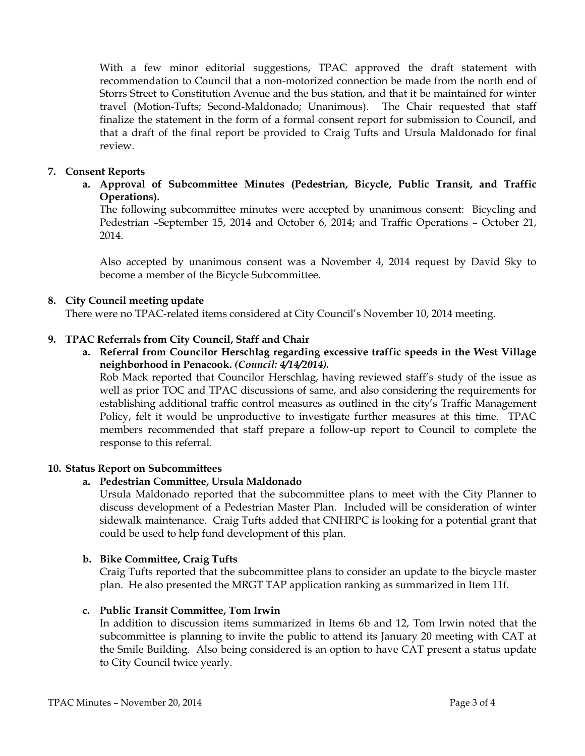With a few minor editorial suggestions, TPAC approved the draft statement with recommendation to Council that a non-motorized connection be made from the north end of Storrs Street to Constitution Avenue and the bus station, and that it be maintained for winter travel (Motion-Tufts; Second-Maldonado; Unanimous). The Chair requested that staff finalize the statement in the form of a formal consent report for submission to Council, and that a draft of the final report be provided to Craig Tufts and Ursula Maldonado for final review.

## 7. Consent Reports

a. Approval of Subcommittee Minutes (Pedestrian, Bicycle, Public Transit, and Traffic Operations).

The following subcommittee minutes were accepted by unanimous consent: Bicycling and Pedestrian –September 15, 2014 and October 6, 2014; and Traffic Operations – October 21, 2014.

Also accepted by unanimous consent was a November 4, 2014 request by David Sky to become a member of the Bicycle Subcommittee.

#### 8. City Council meeting update

There were no TPAC-related items considered at City Council's November 10, 2014 meeting.

#### 9. TPAC Referrals from City Council, Staff and Chair

a. Referral from Councilor Herschlag regarding excessive traffic speeds in the West Village neighborhood in Penacook. (Council: 4/14/2014).

Rob Mack reported that Councilor Herschlag, having reviewed staff's study of the issue as well as prior TOC and TPAC discussions of same, and also considering the requirements for establishing additional traffic control measures as outlined in the city's Traffic Management Policy, felt it would be unproductive to investigate further measures at this time. TPAC members recommended that staff prepare a follow-up report to Council to complete the response to this referral.

#### 10. Status Report on Subcommittees

#### a. Pedestrian Committee, Ursula Maldonado

Ursula Maldonado reported that the subcommittee plans to meet with the City Planner to discuss development of a Pedestrian Master Plan. Included will be consideration of winter sidewalk maintenance. Craig Tufts added that CNHRPC is looking for a potential grant that could be used to help fund development of this plan.

#### b. Bike Committee, Craig Tufts

Craig Tufts reported that the subcommittee plans to consider an update to the bicycle master plan. He also presented the MRGT TAP application ranking as summarized in Item 11f.

#### c. Public Transit Committee, Tom Irwin

In addition to discussion items summarized in Items 6b and 12, Tom Irwin noted that the subcommittee is planning to invite the public to attend its January 20 meeting with CAT at the Smile Building. Also being considered is an option to have CAT present a status update to City Council twice yearly.